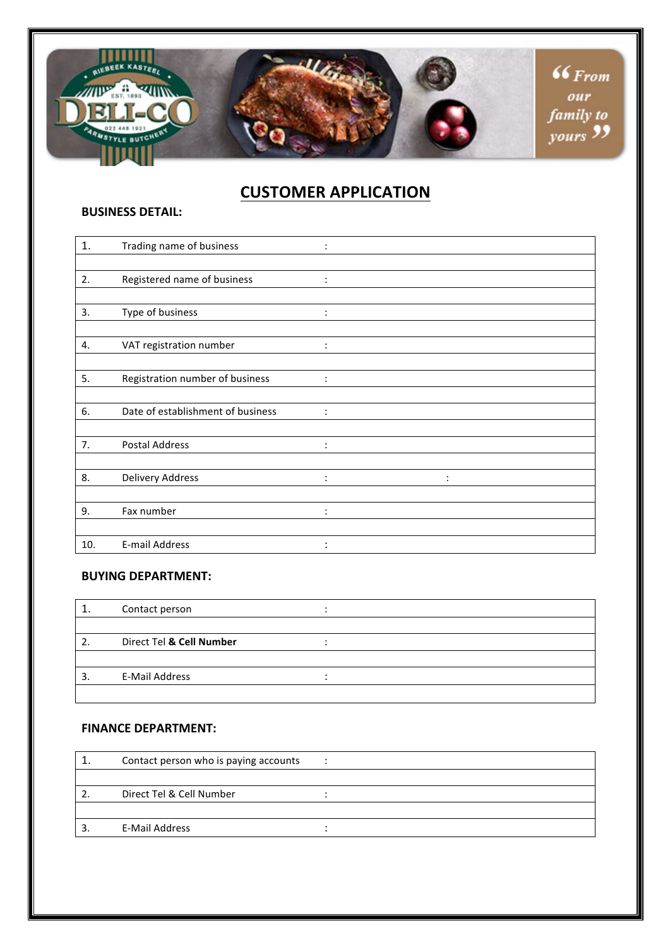

# **CUSTOMER APPLICATION**

### **BUSINESS DETAIL:**

| 1.  | Trading name of business          |                |                |
|-----|-----------------------------------|----------------|----------------|
|     |                                   |                |                |
| 2.  | Registered name of business       | $\ddot{\cdot}$ |                |
|     |                                   |                |                |
| 3.  | Type of business                  | $\ddot{\cdot}$ |                |
|     |                                   |                |                |
| 4.  | VAT registration number           | $\ddot{\cdot}$ |                |
|     |                                   |                |                |
| 5.  | Registration number of business   | $\ddot{\cdot}$ |                |
|     |                                   |                |                |
| 6.  | Date of establishment of business |                |                |
|     |                                   |                |                |
| 7.  | <b>Postal Address</b>             | $\ddot{\cdot}$ |                |
|     |                                   |                |                |
| 8.  | <b>Delivery Address</b>           | $\ddot{\cdot}$ | $\ddot{\cdot}$ |
|     |                                   |                |                |
| 9.  | Fax number                        | $\ddot{\cdot}$ |                |
|     |                                   |                |                |
| 10. | <b>E-mail Address</b>             |                |                |

## **BUYING DEPARTMENT:**

|   | Contact person           |  |
|---|--------------------------|--|
|   |                          |  |
|   | Direct Tel & Cell Number |  |
|   |                          |  |
| 3 | <b>E-Mail Address</b>    |  |
|   |                          |  |

## **FINANCE DEPARTMENT:**

| Contact person who is paying accounts |  |
|---------------------------------------|--|
|                                       |  |
| Direct Tel & Cell Number              |  |
|                                       |  |
| E-Mail Address                        |  |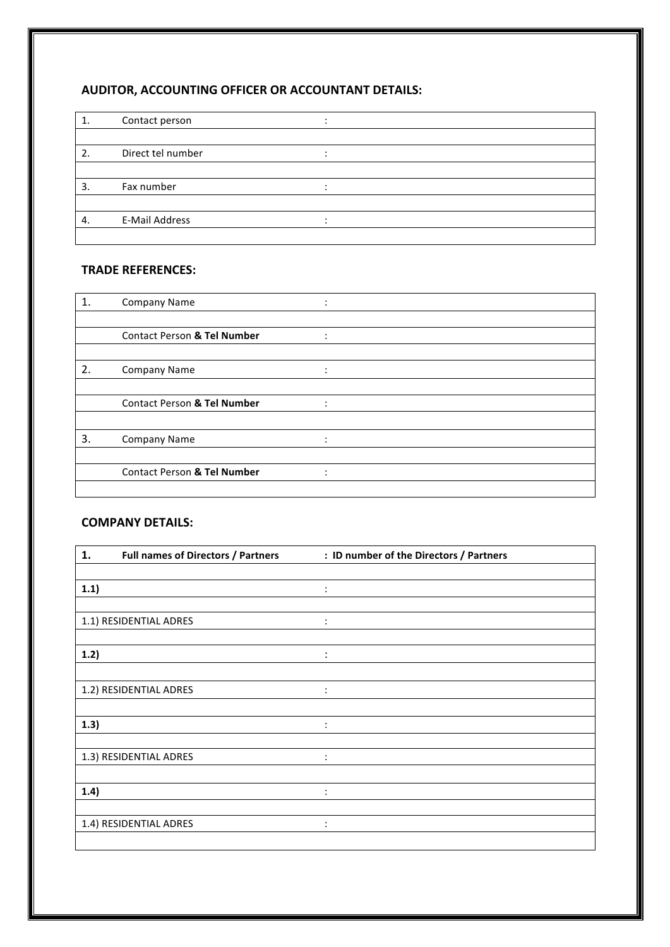## **AUDITOR, ACCOUNTING OFFICER OR ACCOUNTANT DETAILS:**

|    | Contact person        |  |
|----|-----------------------|--|
|    |                       |  |
| 2. | Direct tel number     |  |
|    |                       |  |
| 3. | Fax number            |  |
|    |                       |  |
| 4. | <b>E-Mail Address</b> |  |
|    |                       |  |

## **TRADE REFERENCES:**

| 1. | Company Name                           |                               |  |  |
|----|----------------------------------------|-------------------------------|--|--|
|    |                                        |                               |  |  |
|    | <b>Contact Person &amp; Tel Number</b> | ٠<br>$\overline{\phantom{a}}$ |  |  |
|    |                                        |                               |  |  |
| 2. | <b>Company Name</b>                    |                               |  |  |
|    |                                        |                               |  |  |
|    | <b>Contact Person &amp; Tel Number</b> | $\bullet$                     |  |  |
|    |                                        |                               |  |  |
| 3. | Company Name                           | ٠                             |  |  |
|    |                                        |                               |  |  |
|    | <b>Contact Person &amp; Tel Number</b> |                               |  |  |
|    |                                        |                               |  |  |

### **COMPANY DETAILS:**

| 1.<br><b>Full names of Directors / Partners</b> | : ID number of the Directors / Partners |  |
|-------------------------------------------------|-----------------------------------------|--|
|                                                 |                                         |  |
| 1.1)                                            | $\ddot{\cdot}$                          |  |
|                                                 |                                         |  |
| 1.1) RESIDENTIAL ADRES                          | $\ddot{\cdot}$                          |  |
| 1.2)                                            | ÷                                       |  |
| 1.2) RESIDENTIAL ADRES                          | $\ddot{\cdot}$                          |  |
| 1.3)                                            | $\ddot{\cdot}$                          |  |
|                                                 |                                         |  |
| 1.3) RESIDENTIAL ADRES                          | $\ddot{\cdot}$                          |  |
| 1.4)                                            | $\ddot{\cdot}$                          |  |
| 1.4) RESIDENTIAL ADRES                          | $\ddot{\cdot}$                          |  |
|                                                 |                                         |  |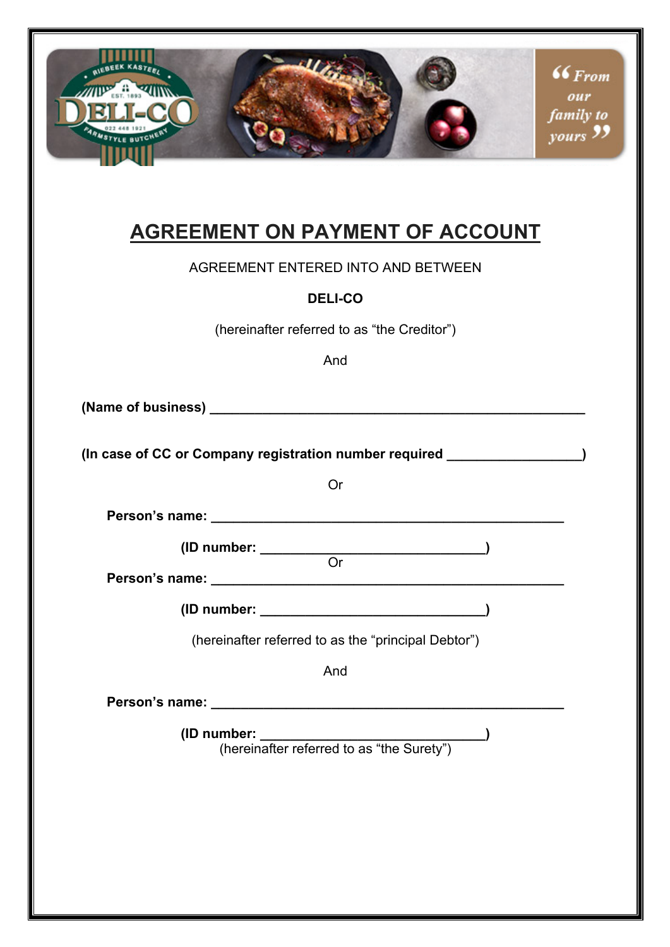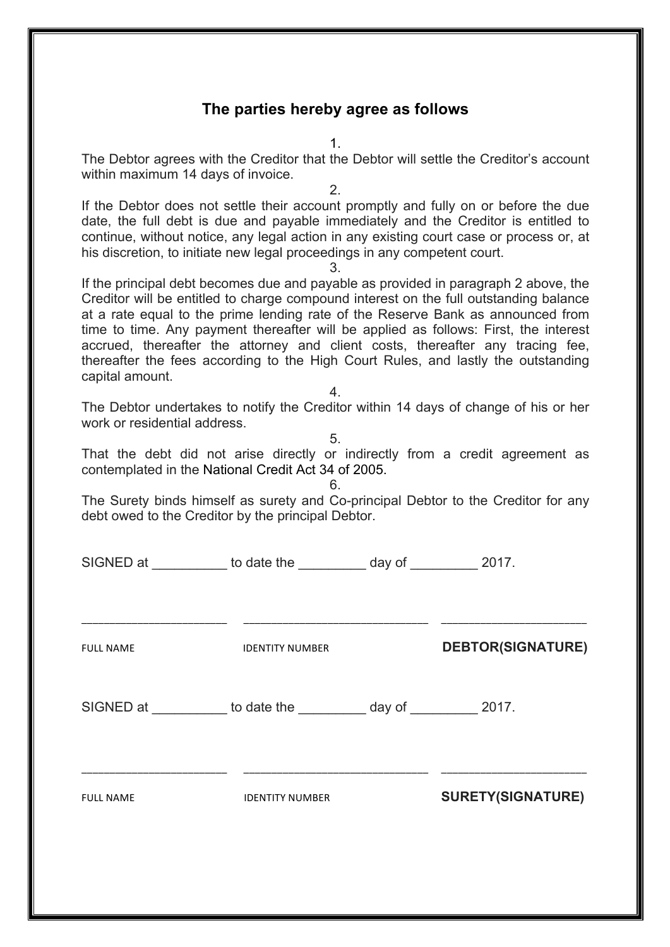## **The parties hereby agree as follows**

1.

The Debtor agrees with the Creditor that the Debtor will settle the Creditor's account within maximum 14 days of invoice.

2.

If the Debtor does not settle their account promptly and fully on or before the due date, the full debt is due and payable immediately and the Creditor is entitled to continue, without notice, any legal action in any existing court case or process or, at his discretion, to initiate new legal proceedings in any competent court.

3.

If the principal debt becomes due and payable as provided in paragraph 2 above, the Creditor will be entitled to charge compound interest on the full outstanding balance at a rate equal to the prime lending rate of the Reserve Bank as announced from time to time. Any payment thereafter will be applied as follows: First, the interest accrued, thereafter the attorney and client costs, thereafter any tracing fee, thereafter the fees according to the High Court Rules, and lastly the outstanding capital amount.

4.

The Debtor undertakes to notify the Creditor within 14 days of change of his or her work or residential address.

5.

That the debt did not arise directly or indirectly from a credit agreement as contemplated in the National Credit Act 34 of 2005.

The Surety binds himself as surety and Co-principal Debtor to the Creditor for any debt owed to the Creditor by the principal Debtor.

6.

| SIGNED at ___________ to date the __________ day of __________ 2017. |                        |                          |
|----------------------------------------------------------------------|------------------------|--------------------------|
| <b>FULL NAME</b>                                                     | <b>IDENTITY NUMBER</b> | <b>DEBTOR(SIGNATURE)</b> |
| SIGNED at ___________ to date the __________ day of __________ 2017. |                        |                          |
| <b>FULL NAME</b>                                                     | <b>IDENTITY NUMBER</b> | <b>SURETY(SIGNATURE)</b> |